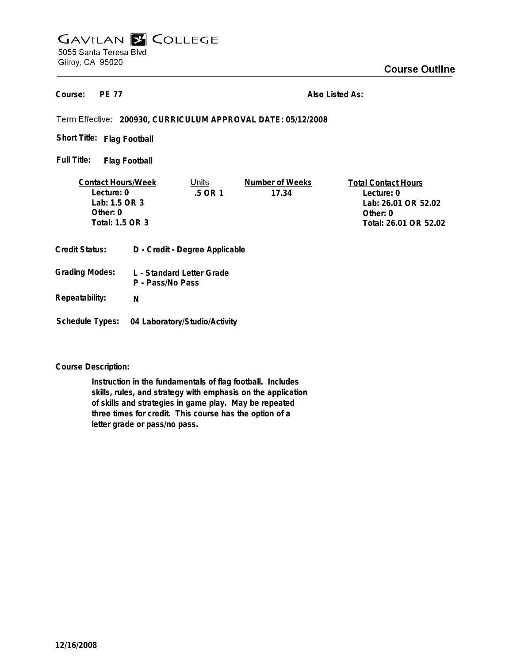# **GAVILAN E COLLEGE** 5055 Santa Teresa Blvd Gilroy, CA 95020

**PE 77 Course:**

**Also Listed As:**

**200930, CURRICULUM APPROVAL DATE: 05/12/2008**

**Flag Football Short Title:**

**Flag Football Full Title:**

| <b>Contact Hours/Week</b>                        |  | Units   | Number of Weeks | <b>Total Contact Hours</b> |
|--------------------------------------------------|--|---------|-----------------|----------------------------|
| Lecture: 0                                       |  | .5 OR 1 | 17.34           | Lecture: 0                 |
| Lab: 1.5 OR 3                                    |  |         |                 | Lab: 26.01 OR 52.02        |
| Other: $0$                                       |  |         |                 | Other: $0$                 |
| Total: 1.5 OR 3                                  |  |         |                 | Total: 26.01 OR 52.02      |
|                                                  |  |         |                 |                            |
| D - Credit - Degree Applicable<br>Credit Status: |  |         |                 |                            |

- **L Standard Letter Grade P - Pass/No Pass Grading Modes:**
- **Repeatability: N**
- **Schedule Types: 04 Laboratory/Studio/Activity**

**Course Description:**

**Instruction in the fundamentals of flag football. Includes skills, rules, and strategy with emphasis on the application of skills and strategies in game play. May be repeated three times for credit. This course has the option of a letter grade or pass/no pass.**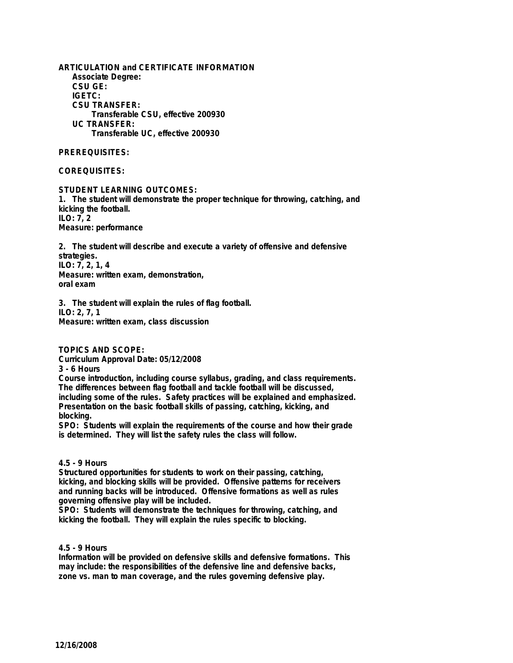**ARTICULATION and CERTIFICATE INFORMATION Associate Degree: CSU GE: IGETC: CSU TRANSFER: Transferable CSU, effective 200930 UC TRANSFER: Transferable UC, effective 200930**

**PREREQUISITES:**

**COREQUISITES:**

**STUDENT LEARNING OUTCOMES:**

**1. The student will demonstrate the proper technique for throwing, catching, and kicking the football. ILO: 7, 2 Measure: performance**

**2. The student will describe and execute a variety of offensive and defensive strategies. ILO: 7, 2, 1, 4 Measure: written exam, demonstration, oral exam**

**3. The student will explain the rules of flag football. ILO: 2, 7, 1 Measure: written exam, class discussion**

**TOPICS AND SCOPE:**

**Curriculum Approval Date: 05/12/2008 3 - 6 Hours**

**Course introduction, including course syllabus, grading, and class requirements. The differences between flag football and tackle football will be discussed, including some of the rules. Safety practices will be explained and emphasized. Presentation on the basic football skills of passing, catching, kicking, and blocking.**

**SPO: Students will explain the requirements of the course and how their grade is determined. They will list the safety rules the class will follow.**

### **4.5 - 9 Hours**

**Structured opportunities for students to work on their passing, catching, kicking, and blocking skills will be provided. Offensive patterns for receivers and running backs will be introduced. Offensive formations as well as rules governing offensive play will be included.**

**SPO: Students will demonstrate the techniques for throwing, catching, and kicking the football. They will explain the rules specific to blocking.**

## **4.5 - 9 Hours**

**Information will be provided on defensive skills and defensive formations. This may include: the responsibilities of the defensive line and defensive backs, zone vs. man to man coverage, and the rules governing defensive play.**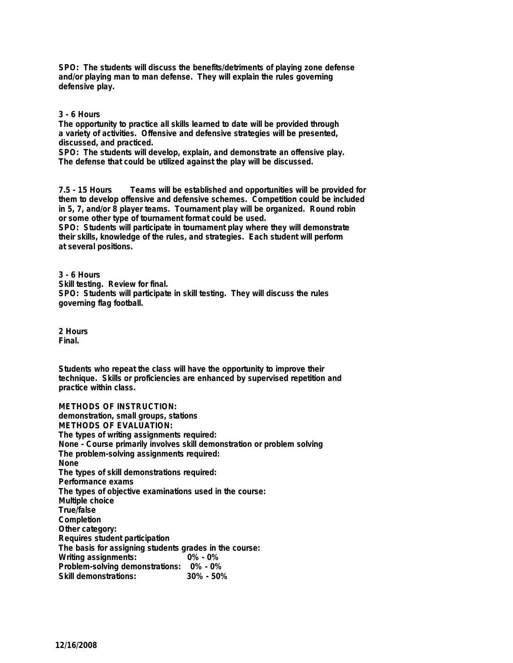**SPO: The students will discuss the benefits/detriments of playing zone defense and/or playing man to man defense. They will explain the rules governing defensive play.**

### **3 - 6 Hours**

**The opportunity to practice all skills learned to date will be provided through a variety of activities. Offensive and defensive strategies will be presented, discussed, and practiced.**

**SPO: The students will develop, explain, and demonstrate an offensive play. The defense that could be utilized against the play will be discussed.**

**7.5 - 15 Hours Teams will be established and opportunities will be provided for them to develop offensive and defensive schemes. Competition could be included in 5, 7, and/or 8 player teams. Tournament play will be organized. Round robin or some other type of tournament format could be used.**

**SPO: Students will participate in tournament play where they will demonstrate their skills, knowledge of the rules, and strategies. Each student will perform at several positions.**

**3 - 6 Hours Skill testing. Review for final. SPO: Students will participate in skill testing. They will discuss the rules governing flag football.**

**2 Hours Final.**

**Students who repeat the class will have the opportunity to improve their technique. Skills or proficiencies are enhanced by supervised repetition and practice within class.**

**METHODS OF INSTRUCTION: demonstration, small groups, stations METHODS OF EVALUATION: The types of writing assignments required: None - Course primarily involves skill demonstration or problem solving The problem-solving assignments required: None The types of skill demonstrations required: Performance exams The types of objective examinations used in the course: Multiple choice True/false Completion Other category: Requires student participation The basis for assigning students grades in the course: Writing assignments: Problem-solving demonstrations: 0% - 0% Skill demonstrations:**